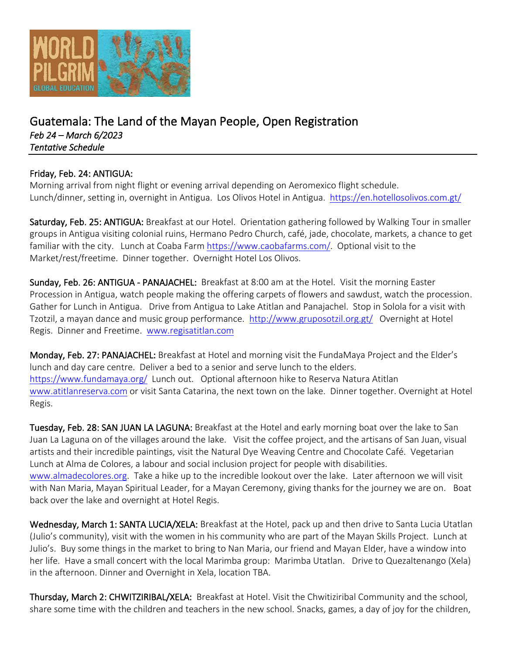

## Guatemala: The Land of the Mayan People, Open Registration *Feb 24 – March 6/2023 Tentative Schedule*

## Friday, Feb. 24: ANTIGUA:

Morning arrival from night flight or evening arrival depending on Aeromexico flight schedule. Lunch/dinner, setting in, overnight in Antigua. Los Olivos Hotel in Antigua. <https://en.hotellosolivos.com.gt/>

Saturday, Feb. 25: ANTIGUA: Breakfast at our Hotel. Orientation gathering followed by Walking Tour in smaller groups in Antigua visiting colonial ruins, Hermano Pedro Church, café, jade, chocolate, markets, a chance to get familiar with the city. Lunch at Coaba Farm [https://www.caobafarms.com/.](https://www.caobafarms.com/) Optional visit to the Market/rest/freetime. Dinner together. Overnight Hotel Los Olivos.

Sunday, Feb. 26: ANTIGUA - PANAJACHEL: Breakfast at 8:00 am at the Hotel. Visit the morning Easter Procession in Antigua, watch people making the offering carpets of flowers and sawdust, watch the procession. Gather for Lunch in Antigua. Drive from Antigua to Lake Atitlan and Panajachel. Stop in Solola for a visit with Tzotzil, a mayan dance and music group performance. <http://www.gruposotzil.org.gt/>Overnight at Hotel Regis. Dinner and Freetime. [www.regisatitlan.com](http://www.regisatitlan.com/)

Monday, Feb. 27: PANAJACHEL: Breakfast at Hotel and morning visit the FundaMaya Project and the Elder's lunch and day care centre. Deliver a bed to a senior and serve lunch to the elders. <https://www.fundamaya.org/>Lunch out. Optional afternoon hike to Reserva Natura Atitlan [www.atitlanreserva.com](http://www.atitlanreserva.com/) or visit Santa Catarina, the next town on the lake. Dinner together. Overnight at Hotel Regis.

Tuesday, Feb. 28: SAN JUAN LA LAGUNA: Breakfast at the Hotel and early morning boat over the lake to San Juan La Laguna on of the villages around the lake. Visit the coffee project, and the artisans of San Juan, visual artists and their incredible paintings, visit the Natural Dye Weaving Centre and Chocolate Café. Vegetarian Lunch at Alma de Colores, a labour and social inclusion project for people with disabilities. [www.almadecolores.org.](http://www.almadecolores.org/) Take a hike up to the incredible lookout over the lake. Later afternoon we will visit with Nan Maria, Mayan Spiritual Leader, for a Mayan Ceremony, giving thanks for the journey we are on. Boat back over the lake and overnight at Hotel Regis.

Wednesday, March 1: SANTA LUCIA/XELA: Breakfast at the Hotel, pack up and then drive to Santa Lucia Utatlan (Julio's community), visit with the women in his community who are part of the Mayan Skills Project. Lunch at Julio's. Buy some things in the market to bring to Nan Maria, our friend and Mayan Elder, have a window into her life. Have a small concert with the local Marimba group: Marimba Utatlan. Drive to Quezaltenango (Xela) in the afternoon. Dinner and Overnight in Xela, location TBA.

Thursday, March 2: CHWITZIRIBAL/XELA: Breakfast at Hotel. Visit the Chwitiziribal Community and the school, share some time with the children and teachers in the new school. Snacks, games, a day of joy for the children,